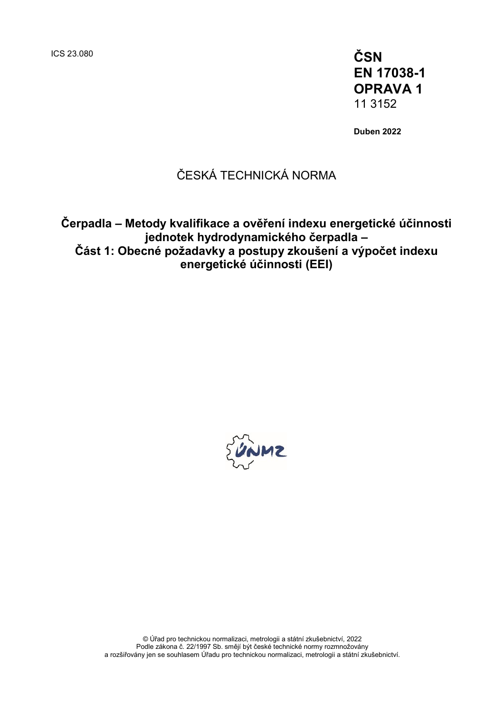ICS 23.080 **ČSN EN 17038-1 OPRAVA 1** 11 3152

**Duben 2022**

# ČESKÁ TECHNICKÁ NORMA

**Čerpadla – Metody kvalifikace a ověření indexu energetické účinnosti jednotek hydrodynamického čerpadla – Část 1: Obecné požadavky a postupy zkoušení a výpočet indexu energetické účinnosti (EEI)**

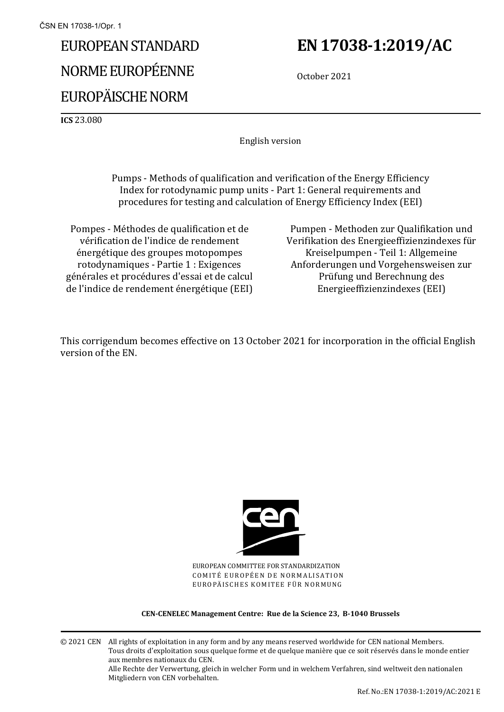# EUROPEAN STANDARD NORME EUROPÉENNE EUROPÄISCHE NORM

# **EN 17038-1:2019/AC**

October 2021

**ICS** 23.080

English version

Pumps - Methods of qualification and verification of the Energy Efficiency Index for rotodynamic pump units - Part 1: General requirements and procedures for testing and calculation of Energy Efficiency Index (EEI)

Pompes - Méthodes de qualification et de vérification de l'indice de rendement énergétique des groupes motopompes rotodynamiques - Partie 1 : Exigences générales et procédures d'essai et de calcul de l'indice de rendement énergétique (EEI)

Pumpen - Methoden zur Qualifikation und Verifikation des Energieeffizienzindexes für Kreiselpumpen - Teil 1: Allgemeine Anforderungen und Vorgehensweisen zur Prüfung und Berechnung des Energieeffizienzindexes (EEI)

This corrigendum becomes effective on 13 October 2021 for incorporation in the official English version of the EN.



EUROPEAN COMMITTEE FOR STANDARDIZATION COMITÉ EUROPÉEN DE NORMALISATION EUROPÄISCHES KOMITEE FÜR NORMUNG

#### **CEN-CENELEC Management Centre: Rue de la Science 23, B-1040 Brussels**

© 2021 CEN All rights of exploitation in any form and by any means reserved worldwide for CEN national Members. Tous droits d'exploitation sous quelque forme et de quelque manière que ce soit réservés dans le monde entier aux membres nationaux du CEN. Alle Rechte der Verwertung, gleich in welcher Form und in welchem Verfahren, sind weltweit den nationalen Mitgliedern von CEN vorbehalten.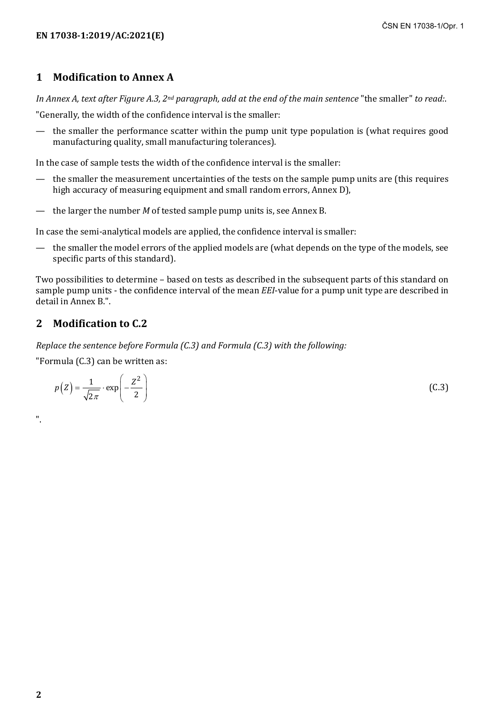## **1 Modification to Annex A**

*In Annex A, text after Figure A.3, 2nd paragraph, add at the end of the main sentence* "the smaller" *to read:*.

"Generally, the width of the confidence interval is the smaller:

— the smaller the performance scatter within the pump unit type population is (what requires good manufacturing quality, small manufacturing tolerances).

In the case of sample tests the width of the confidence interval is the smaller:

- the smaller the measurement uncertainties of the tests on the sample pump units are (this requires high accuracy of measuring equipment and small random errors, Annex D),
- the larger the number *M* of tested sample pump units is, see Annex B.

In case the semi-analytical models are applied, the confidence interval is smaller:

— the smaller the model errors of the applied models are (what depends on the type of the models, see specific parts of this standard).

Two possibilities to determine – based on tests as described in the subsequent parts of this standard on sample pump units - the confidence interval of the mean *EEI*-value for a pump unit type are described in detail in Annex B.".

### **2 Modification to C.2**

*Replace the sentence before Formula (C.3) and Formula (C.3) with the following:*

"Formula (C.3) can be written as:

$$
p(Z) = \frac{1}{\sqrt{2\pi}} \cdot \exp\left(-\frac{Z^2}{2}\right) \tag{C.3}
$$

".